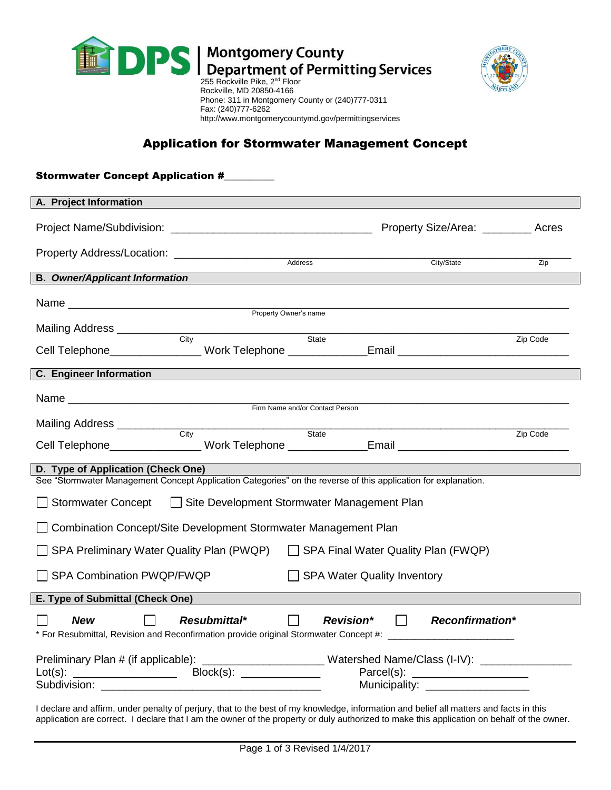



# Application for Stormwater Management Concept

| <b>Stormwater Concept Application #</b>                                                                                                                               |                                         |                                      |
|-----------------------------------------------------------------------------------------------------------------------------------------------------------------------|-----------------------------------------|--------------------------------------|
| A. Project Information                                                                                                                                                |                                         |                                      |
|                                                                                                                                                                       |                                         | Property Size/Area: __________ Acres |
|                                                                                                                                                                       | Address<br>City/State                   | Zip                                  |
| <b>B.</b> Owner/Applicant Information                                                                                                                                 |                                         |                                      |
|                                                                                                                                                                       |                                         |                                      |
|                                                                                                                                                                       |                                         |                                      |
| Cell Telephone_______________Work Telephone _____________Email __________________                                                                                     |                                         | Zip Code                             |
| <b>C.</b> Engineer Information                                                                                                                                        |                                         |                                      |
|                                                                                                                                                                       |                                         |                                      |
|                                                                                                                                                                       |                                         |                                      |
| Cell Telephone_________________Work Telephone ______________Email _________________________________                                                                   |                                         | Zip Code                             |
| D. Type of Application (Check One)                                                                                                                                    |                                         |                                      |
| See "Stormwater Management Concept Application Categories" on the reverse of this application for explanation.                                                        |                                         |                                      |
| Stormwater Concept   Site Development Stormwater Management Plan                                                                                                      |                                         |                                      |
| □ Combination Concept/Site Development Stormwater Management Plan                                                                                                     |                                         |                                      |
| SPA Preliminary Water Quality Plan (PWQP)<br>$\Box$ SPA Final Water Quality Plan (FWQP)                                                                               |                                         |                                      |
| SPA Combination PWQP/FWQP                                                                                                                                             | SPA Water Quality Inventory             |                                      |
| E. Type of Submittal (Check One)                                                                                                                                      |                                         |                                      |
| $\Box$ New $\Box$ Resubmittal*<br>* For Resubmittal, Revision and Reconfirmation provide original Stormwater Concept #: ________________________                      | $\Box$ Revision* $\Box$ Reconfirmation* |                                      |
| Preliminary Plan # (if applicable): _______________________Watershed Name/Class (I-IV): ____________<br>Block(s): ______________<br>$Lot(s):$ _______________________ |                                         |                                      |
| Municipality: ___________________                                                                                                                                     |                                         |                                      |

I declare and affirm, under penalty of perjury, that to the best of my knowledge, information and belief all matters and facts in this application are correct. I declare that I am the owner of the property or duly authorized to make this application on behalf of the owner.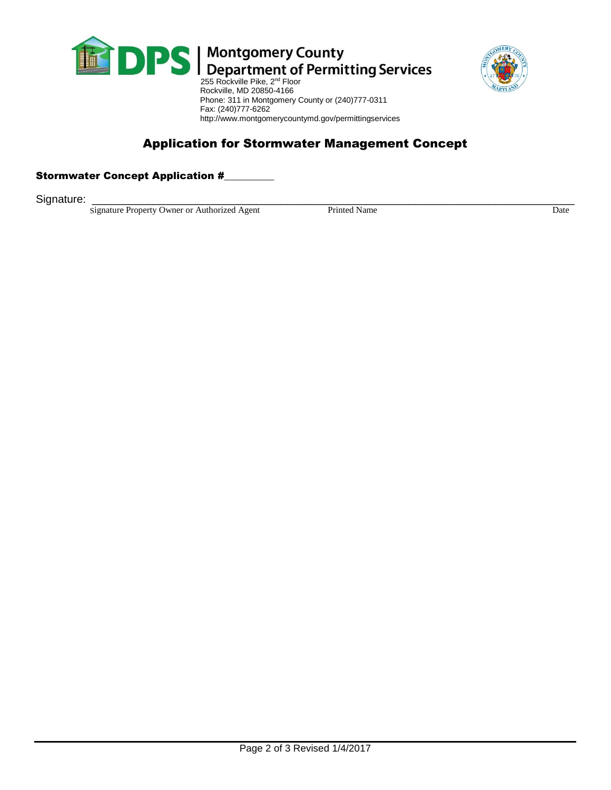



# Application for Stormwater Management Concept

http://www.montgomerycountymd.gov/permittingservices

## Stormwater Concept Application #

Signature: \_\_\_\_\_\_\_\_\_\_\_\_\_\_\_\_\_\_\_\_\_\_\_\_\_\_\_\_\_\_\_\_\_\_\_\_\_\_\_\_\_\_\_\_\_\_\_\_\_\_\_\_\_\_\_\_\_\_\_\_\_\_\_\_\_\_\_\_\_\_\_\_\_\_\_\_\_\_\_

Signature Property Owner or Authorized Agent Printed Name Printed Name Date